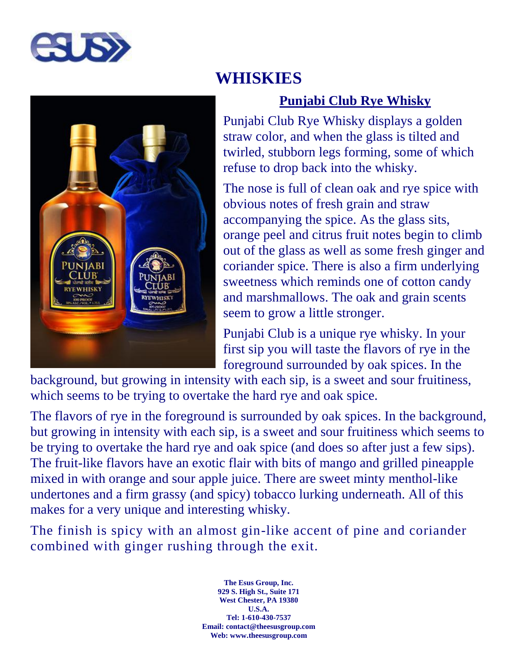



# **WHISKIES**

## **Punjabi Club Rye Whisky**

Punjabi Club Rye Whisky displays a golden straw color, and when the glass is tilted and twirled, stubborn legs forming, some of which refuse to drop back into the whisky.

The nose is full of clean oak and rye spice with obvious notes of fresh grain and straw accompanying the spice. As the glass sits, orange peel and citrus fruit notes begin to climb out of the glass as well as some fresh ginger and coriander spice. There is also a firm underlying sweetness which reminds one of cotton candy and marshmallows. The oak and grain scents seem to grow a little stronger.

Punjabi Club is a unique rye whisky. In your first sip you will taste the flavors of rye in the foreground surrounded by oak spices. In the

background, but growing in intensity with each sip, is a sweet and sour fruitiness, which seems to be trying to overtake the hard rye and oak spice.

The flavors of rye in the foreground is surrounded by oak spices. In the background, but growing in intensity with each sip, is a sweet and sour fruitiness which seems to be trying to overtake the hard rye and oak spice (and does so after just a few sips). The fruit-like flavors have an exotic flair with bits of mango and grilled pineapple mixed in with orange and sour apple juice. There are sweet minty menthol-like undertones and a firm grassy (and spicy) tobacco lurking underneath. All of this makes for a very unique and interesting whisky.

The finish is spicy with an almost gin-like accent of pine and coriander combined with ginger rushing through the exit.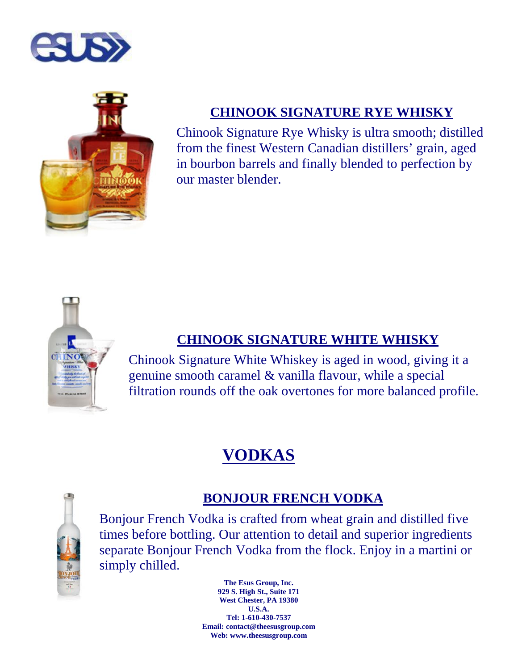



## **CHINOOK SIGNATURE RYE WHISKY**

Chinook Signature Rye Whisky is ultra smooth; distilled from the finest Western Canadian distillers' grain, aged in bourbon barrels and finally blended to perfection by our master blender.



### **CHINOOK SIGNATURE WHITE WHISKY**

Chinook Signature White Whiskey is aged in wood, giving it a genuine smooth caramel & vanilla flavour, while a special filtration rounds off the oak overtones for more balanced profile.

# **VODKAS**



### **BONJOUR FRENCH VODKA**

Bonjour French Vodka is crafted from wheat grain and distilled five times before bottling. Our attention to detail and superior ingredients separate Bonjour French Vodka from the flock. Enjoy in a martini or simply chilled.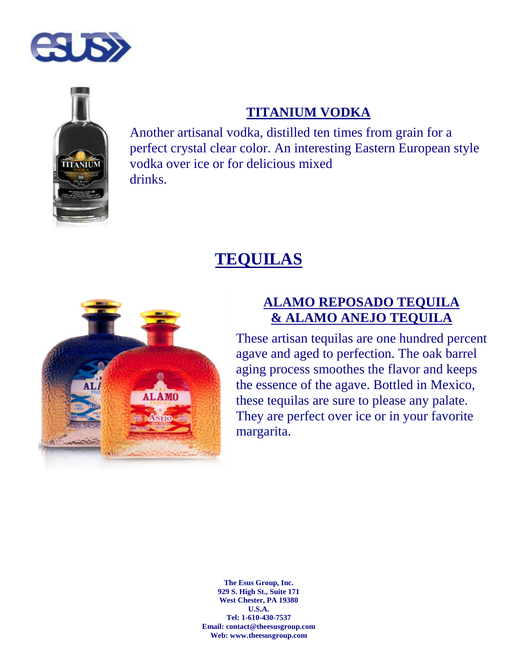



#### **TITANIUM VODKA**

Another artisanal vodka, distilled ten times from grain for a perfect crystal clear color. An interesting Eastern European style vodka over ice or for delicious mixed drinks.

# **TEQUILAS**



#### **ALAMO REPOSADO TEQUILA & ALAMO ANEJO TEQUILA**

These artisan tequilas are one hundred percent agave and aged to perfection. The oak barrel aging process smoothes the flavor and keeps the essence of the agave. Bottled in Mexico, these tequilas are sure to please any palate. They are perfect over ice or in your favorite margarita.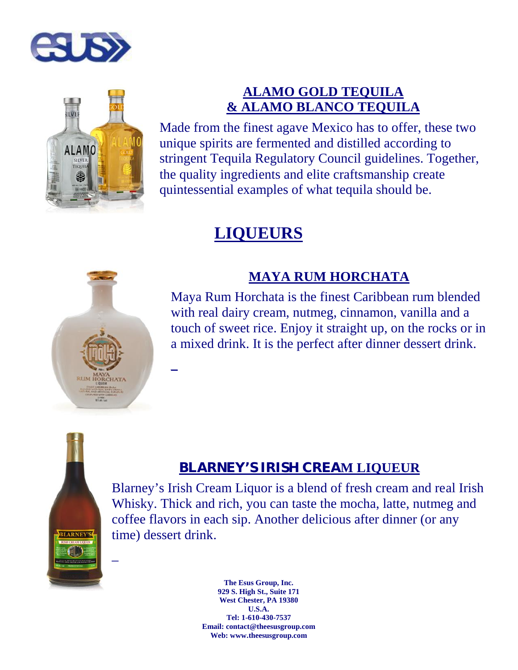



## **ALAMO GOLD TEQUILA & ALAMO BLANCO TEQUILA**

Made from the finest agave Mexico has to offer, these two unique spirits are fermented and distilled according to stringent Tequila Regulatory Council guidelines. Together, the quality ingredients and elite craftsmanship create quintessential examples of what tequila should be.

# **LIQUEURS**

 $\mathbb{Z}^{\mathbb{Z}^{\times}}$  and  $\mathbb{Z}^{\mathbb{Z}^{\times}}$ 



## **MAYA RUM HORCHATA**

Maya Rum Horchata is the finest Caribbean rum blended with real dairy cream, nutmeg, cinnamon, vanilla and a touch of sweet rice. Enjoy it straight up, on the rocks or in a mixed drink. It is the perfect after dinner dessert drink.



 $\overline{a}$ 

## **BLARNEY'S IRISH CREAM LIQUEUR**

Blarney's Irish Cream Liquor is a blend of fresh cream and real Irish Whisky. Thick and rich, you can taste the mocha, latte, nutmeg and coffee flavors in each sip. Another delicious after dinner (or any time) dessert drink.